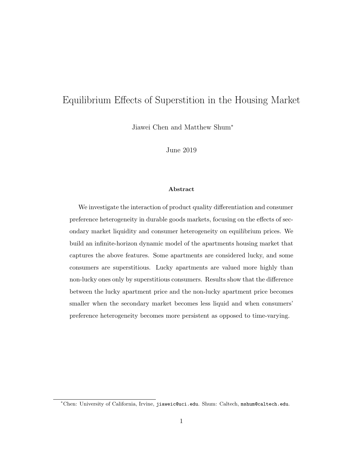# Equilibrium Effects of Superstition in the Housing Market

Jiawei Chen and Matthew Shum<sup>∗</sup>

June 2019

#### Abstract

We investigate the interaction of product quality differentiation and consumer preference heterogeneity in durable goods markets, focusing on the effects of secondary market liquidity and consumer heterogeneity on equilibrium prices. We build an infinite-horizon dynamic model of the apartments housing market that captures the above features. Some apartments are considered lucky, and some consumers are superstitious. Lucky apartments are valued more highly than non-lucky ones only by superstitious consumers. Results show that the difference between the lucky apartment price and the non-lucky apartment price becomes smaller when the secondary market becomes less liquid and when consumers' preference heterogeneity becomes more persistent as opposed to time-varying.

<sup>∗</sup>Chen: University of California, Irvine, jiaweic@uci.edu. Shum: Caltech, mshum@caltech.edu.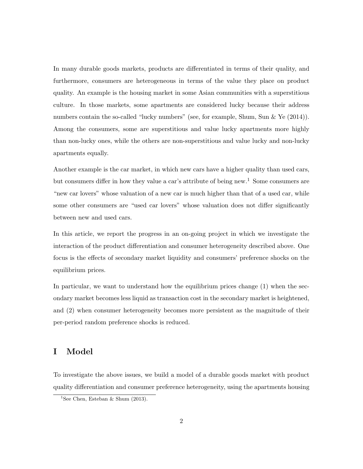In many durable goods markets, products are differentiated in terms of their quality, and furthermore, consumers are heterogeneous in terms of the value they place on product quality. An example is the housing market in some Asian communities with a superstitious culture. In those markets, some apartments are considered lucky because their address numbers contain the so-called "lucky numbers" (see, for example, Shum, Sun & Ye (2014)). Among the consumers, some are superstitious and value lucky apartments more highly than non-lucky ones, while the others are non-superstitious and value lucky and non-lucky apartments equally.

Another example is the car market, in which new cars have a higher quality than used cars, but consumers differ in how they value a car's attribute of being new.<sup>1</sup> Some consumers are "new car lovers" whose valuation of a new car is much higher than that of a used car, while some other consumers are "used car lovers" whose valuation does not differ significantly between new and used cars.

In this article, we report the progress in an on-going project in which we investigate the interaction of the product differentiation and consumer heterogeneity described above. One focus is the effects of secondary market liquidity and consumers' preference shocks on the equilibrium prices.

In particular, we want to understand how the equilibrium prices change (1) when the secondary market becomes less liquid as transaction cost in the secondary market is heightened, and (2) when consumer heterogeneity becomes more persistent as the magnitude of their per-period random preference shocks is reduced.

## I Model

To investigate the above issues, we build a model of a durable goods market with product quality differentiation and consumer preference heterogeneity, using the apartments housing

<sup>&</sup>lt;sup>1</sup>See Chen, Esteban & Shum  $(2013)$ .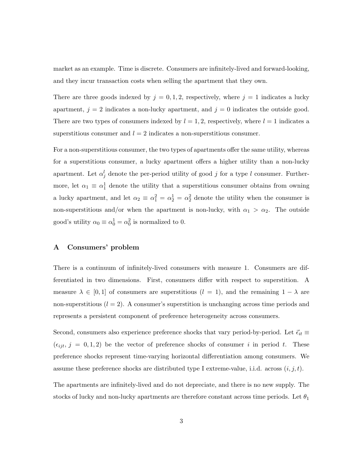market as an example. Time is discrete. Consumers are infinitely-lived and forward-looking, and they incur transaction costs when selling the apartment that they own.

There are three goods indexed by  $j = 0, 1, 2$ , respectively, where  $j = 1$  indicates a lucky apartment,  $j = 2$  indicates a non-lucky apartment, and  $j = 0$  indicates the outside good. There are two types of consumers indexed by  $l = 1, 2$ , respectively, where  $l = 1$  indicates a superstitious consumer and  $l = 2$  indicates a non-superstitious consumer.

For a non-superstitious consumer, the two types of apartments offer the same utility, whereas for a superstitious consumer, a lucky apartment offers a higher utility than a non-lucky apartment. Let  $\alpha_j^l$  denote the per-period utility of good j for a type l consumer. Furthermore, let  $\alpha_1 \equiv \alpha_1^1$  denote the utility that a superstitious consumer obtains from owning a lucky apartment, and let  $\alpha_2 \equiv \alpha_1^2 = \alpha_2^2 = \alpha_2^2$  denote the utility when the consumer is non-superstitious and/or when the apartment is non-lucky, with  $\alpha_1 > \alpha_2$ . The outside good's utility  $\alpha_0 \equiv \alpha_0^1 = \alpha_0^2$  is normalized to 0.

### A Consumers' problem

There is a continuum of infinitely-lived consumers with measure 1. Consumers are differentiated in two dimensions. First, consumers differ with respect to superstition. A measure  $\lambda \in [0,1]$  of consumers are superstitious  $(l = 1)$ , and the remaining  $1 - \lambda$  are non-superstitious  $(l = 2)$ . A consumer's superstition is unchanging across time periods and represents a persistent component of preference heterogeneity across consumers.

Second, consumers also experience preference shocks that vary period-by-period. Let  $\vec{\epsilon}_{it}$  $(\epsilon_{ijt}, j = 0, 1, 2)$  be the vector of preference shocks of consumer i in period t. These preference shocks represent time-varying horizontal differentiation among consumers. We assume these preference shocks are distributed type I extreme-value, i.i.d. across  $(i, j, t)$ .

The apartments are infinitely-lived and do not depreciate, and there is no new supply. The stocks of lucky and non-lucky apartments are therefore constant across time periods. Let  $\theta_1$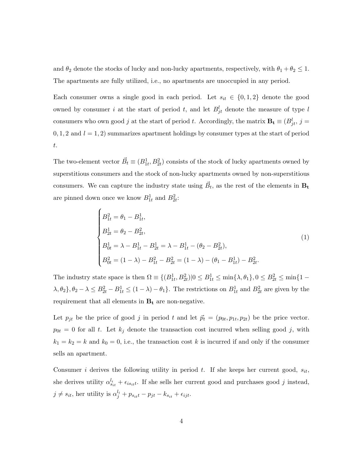and  $\theta_2$  denote the stocks of lucky and non-lucky apartments, respectively, with  $\theta_1 + \theta_2 \leq 1$ . The apartments are fully utilized, i.e., no apartments are unoccupied in any period.

Each consumer owns a single good in each period. Let  $s_{it} \in \{0, 1, 2\}$  denote the good owned by consumer i at the start of period t, and let  $B_{jt}^l$  denote the measure of type l consumers who own good j at the start of period t. Accordingly, the matrix  $\mathbf{B_t} \equiv (B_{jt}^l, j =$  $0, 1, 2$  and  $l = 1, 2$ ) summarizes apartment holdings by consumer types at the start of period t.

The two-element vector  $\vec{B}_t \equiv (B_{1t}^1, B_{2t}^2)$  consists of the stock of lucky apartments owned by superstitious consumers and the stock of non-lucky apartments owned by non-superstitious consumers. We can capture the industry state using  $\vec{B}_t$ , as the rest of the elements in  $B_t$ are pinned down once we know  $B_{1t}^1$  and  $B_{2t}^2$ :

$$
\begin{cases}\nB_{1t}^{2} = \theta_{1} - B_{1t}^{1}, \\
B_{2t}^{1} = \theta_{2} - B_{2t}^{2}, \\
B_{0t}^{1} = \lambda - B_{1t}^{1} - B_{2t}^{1} = \lambda - B_{1t}^{1} - (\theta_{2} - B_{2t}^{2}), \\
B_{0t}^{2} = (1 - \lambda) - B_{1t}^{2} - B_{2t}^{2} = (1 - \lambda) - (\theta_{1} - B_{1t}^{1}) - B_{2t}^{2}.\n\end{cases}
$$
\n(1)

The industry state space is then  $\Omega = \{(B_{1t}^1, B_{2t}^2) | 0 \le B_{1t}^1 \le \min\{\lambda, \theta_1\}, 0 \le B_{2t}^2 \le \min\{1 - \theta_1\} \}$  $\lambda, \theta_2$ ,  $\theta_2 - \lambda \leq B_{2t}^2 - B_{1t}^1 \leq (1 - \lambda) - \theta_1$ . The restrictions on  $B_{1t}^1$  and  $B_{2t}^2$  are given by the requirement that all elements in  $B_t$  are non-negative.

Let  $p_{jt}$  be the price of good j in period t and let  $\vec{p}_t = (p_{0t}, p_{1t}, p_{2t})$  be the price vector.  $p_{0t} = 0$  for all t. Let  $k_j$  denote the transaction cost incurred when selling good j, with  $k_1 = k_2 = k$  and  $k_0 = 0$ , i.e., the transaction cost k is incurred if and only if the consumer sells an apartment.

Consumer i derives the following utility in period t. If she keeps her current good,  $s_{it}$ , she derives utility  $\alpha_{s_{it}}^{l_i} + \epsilon_{is_{it}t}$ . If she sells her current good and purchases good j instead,  $j \neq s_{it}$ , her utility is  $\alpha_j^{l_i} + p_{s_{it}t} - p_{jt} - k_{s_{it}} + \epsilon_{ijt}$ .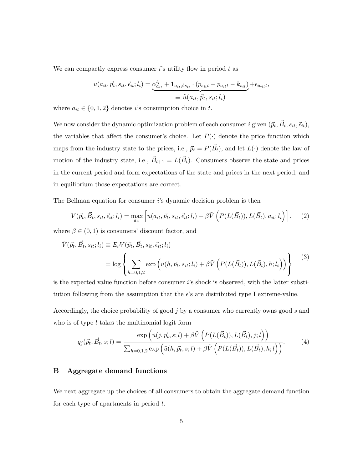We can compactly express consumer  $i$ 's utility flow in period  $t$  as

$$
u(a_{it}, \vec{p}_t, s_{it}, \vec{\epsilon}_{it}; l_i) = \underbrace{\alpha_{a_{it}}^{l_i} + \mathbf{1}_{a_{it} \neq s_{it}} \cdot (p_{s_{it}} - p_{a_{it}} - k_{s_{it}})}_{\equiv \tilde{u}(a_{it}, \vec{p}_t, s_{it}; l_i)} + \epsilon_{ia_{it}},
$$

where  $a_{it} \in \{0, 1, 2\}$  denotes is consumption choice in t.

We now consider the dynamic optimization problem of each consumer i given  $(\vec{p}_t, \vec{B}_t, s_{it}, \vec{\epsilon}_{it})$ , the variables that affect the consumer's choice. Let  $P(\cdot)$  denote the price function which maps from the industry state to the prices, i.e.,  $\vec{p}_t = P(\vec{B}_t)$ , and let  $L(\cdot)$  denote the law of motion of the industry state, i.e.,  $\vec{B}_{t+1} = L(\vec{B}_t)$ . Consumers observe the state and prices in the current period and form expectations of the state and prices in the next period, and in equilibrium those expectations are correct.

The Bellman equation for consumer i's dynamic decision problem is then

$$
V(\vec{p}_t, \vec{B}_t, s_{it}, \vec{\epsilon}_{it}; l_i) = \max_{a_{it}} \left[ u(a_{it}, \vec{p}_t, s_{it}, \vec{\epsilon}_{it}; l_i) + \beta \tilde{V} \left( P(L(\vec{B}_t)), L(\vec{B}_t), a_{it}; l_i) \right) \right], \quad (2)
$$

where  $\beta \in (0, 1)$  is consumers' discount factor, and

$$
\tilde{V}(\vec{p}_t, \vec{B}_t, s_{it}; l_i) \equiv E_{\vec{\epsilon}} V(\vec{p}_t, \vec{B}_t, s_{it}, \vec{\epsilon}_{it}; l_i)
$$
\n
$$
= \log \left\{ \sum_{h=0,1,2} \exp \left( \tilde{u}(h, \vec{p}_t, s_{it}; l_i) + \beta \tilde{V} \left( P(L(\vec{B}_t)), L(\vec{B}_t), h; l_i \right) \right) \right\} \tag{3}
$$

is the expected value function before consumer i's shock is observed, with the latter substitution following from the assumption that the  $\epsilon$ 's are distributed type I extreme-value.

Accordingly, the choice probability of good  $j$  by a consumer who currently owns good  $s$  and who is of type  $l$  takes the multinomial logit form

$$
q_j(\vec{p}_t, \vec{B}_t, s; l) = \frac{\exp\left(\tilde{u}(j, \vec{p}_t, s; l) + \beta \tilde{V}\left(P(L(\vec{B}_t)), L(\vec{B}_t), j; l\right)\right)}{\sum_{h=0,1,2} \exp\left(\tilde{u}(h, \vec{p}_t, s; l) + \beta \tilde{V}\left(P(L(\vec{B}_t)), L(\vec{B}_t), h; l\right)\right)}.
$$
(4)

#### B Aggregate demand functions

We next aggregate up the choices of all consumers to obtain the aggregate demand function for each type of apartments in period  $t$ .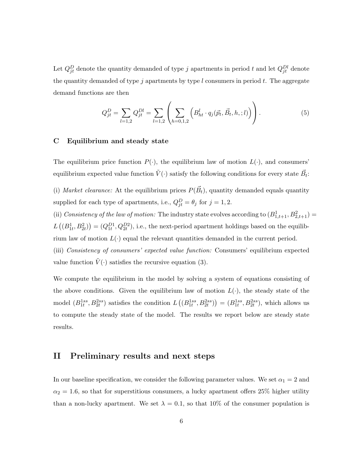Let  $Q_{jt}^D$  denote the quantity demanded of type j apartments in period t and let  $Q_{jt}^{Dl}$  denote the quantity demanded of type  $j$  apartments by type  $l$  consumers in period  $t$ . The aggregate demand functions are then

$$
Q_{jt}^D = \sum_{l=1,2} Q_{jt}^{Dl} = \sum_{l=1,2} \left( \sum_{h=0,1,2} \left( B_{ht}^l \cdot q_j(\vec{p}_t, \vec{B}_t, h, ; l) \right) \right). \tag{5}
$$

#### C Equilibrium and steady state

The equilibrium price function  $P(\cdot)$ , the equilibrium law of motion  $L(\cdot)$ , and consumers' equilibrium expected value function  $\tilde{V}(\cdot)$  satisfy the following conditions for every state  $\vec{B}_t$ :

(i) Market clearance: At the equilibrium prices  $P(\vec{B}_t)$ , quantity demanded equals quantity supplied for each type of apartments, i.e.,  $Q_{jt}^D = \theta_j$  for  $j = 1, 2$ .

(ii) Consistency of the law of motion: The industry state evolves according to  $(B^1_{1,t+1}, B^2_{2,t+1}) =$  $L((B^1_{1t}, B^2_{2t})) = (Q^{D1}_{1t}, Q^{D2}_{2t}),$  i.e., the next-period apartment holdings based on the equilibrium law of motion  $L(\cdot)$  equal the relevant quantities demanded in the current period. (iii) Consistency of consumers' expected value function: Consumers' equilibrium expected value function  $\tilde{V}(\cdot)$  satisfies the recursive equation (3).

We compute the equilibrium in the model by solving a system of equations consisting of the above conditions. Given the equilibrium law of motion  $L(\cdot)$ , the steady state of the model  $(B_{1t}^{1ss}, B_{2t}^{2ss})$  satisfies the condition  $L((B_{1t}^{1ss}, B_{2t}^{2ss})) = (B_{1t}^{1ss}, B_{2t}^{2ss})$ , which allows us to compute the steady state of the model. The results we report below are steady state results.

### II Preliminary results and next steps

In our baseline specification, we consider the following parameter values. We set  $\alpha_1 = 2$  and  $\alpha_2 = 1.6$ , so that for superstitious consumers, a lucky apartment offers 25% higher utility than a non-lucky apartment. We set  $\lambda = 0.1$ , so that 10% of the consumer population is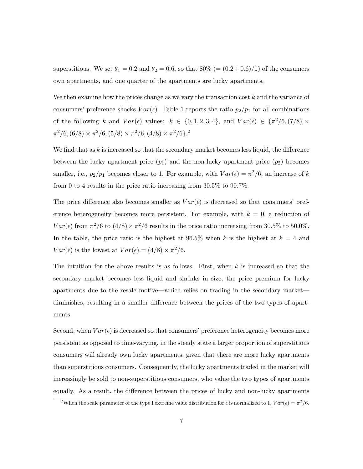superstitious. We set  $\theta_1 = 0.2$  and  $\theta_2 = 0.6$ , so that  $80\%$  (=  $(0.2 + 0.6)/1$ ) of the consumers own apartments, and one quarter of the apartments are lucky apartments.

We then examine how the prices change as we vary the transaction cost  $k$  and the variance of consumers' preference shocks  $Var(\epsilon)$ . Table 1 reports the ratio  $p_2/p_1$  for all combinations of the following k and  $Var(\epsilon)$  values:  $k \in \{0, 1, 2, 3, 4\}$ , and  $Var(\epsilon) \in {\pi^2/6, (7/8) \times}$  $\pi^2/6$ ,  $(6/8) \times \pi^2/6$ ,  $(5/8) \times \pi^2/6$ ,  $(4/8) \times \pi^2/6$ .<sup>2</sup>

We find that as  $k$  is increased so that the secondary market becomes less liquid, the difference between the lucky apartment price  $(p_1)$  and the non-lucky apartment price  $(p_2)$  becomes smaller, i.e.,  $p_2/p_1$  becomes closer to 1. For example, with  $Var(\epsilon) = \pi^2/6$ , an increase of k from 0 to 4 results in the price ratio increasing from 30.5% to 90.7%.

The price difference also becomes smaller as  $Var(\epsilon)$  is decreased so that consumers' preference heterogeneity becomes more persistent. For example, with  $k = 0$ , a reduction of  $Var(\epsilon)$  from  $\pi^2/6$  to  $(4/8) \times \pi^2/6$  results in the price ratio increasing from 30.5% to 50.0%. In the table, the price ratio is the highest at  $96.5\%$  when k is the highest at  $k = 4$  and  $Var(\epsilon)$  is the lowest at  $Var(\epsilon) = (4/8) \times \pi^2/6$ .

The intuition for the above results is as follows. First, when  $k$  is increased so that the secondary market becomes less liquid and shrinks in size, the price premium for lucky apartments due to the resale motive—which relies on trading in the secondary market diminishes, resulting in a smaller difference between the prices of the two types of apartments.

Second, when  $Var(\epsilon)$  is decreased so that consumers' preference heterogeneity becomes more persistent as opposed to time-varying, in the steady state a larger proportion of superstitious consumers will already own lucky apartments, given that there are more lucky apartments than superstitious consumers. Consequently, the lucky apartments traded in the market will increasingly be sold to non-superstitious consumers, who value the two types of apartments equally. As a result, the difference between the prices of lucky and non-lucky apartments

<sup>&</sup>lt;sup>2</sup>When the scale parameter of the type I extreme value distribution for  $\epsilon$  is normalized to 1,  $Var(\epsilon) = \pi^2/6$ .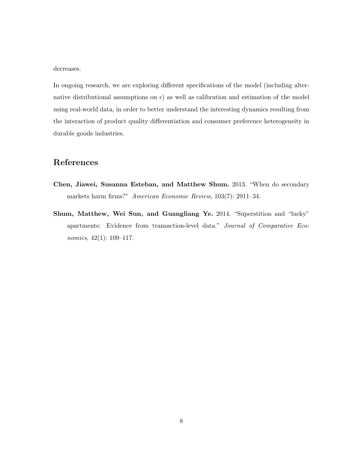decreases.

In ongoing research, we are exploring different specifications of the model (including alternative distributional assumptions on  $\epsilon$ ) as well as calibration and estimation of the model using real-world data, in order to better understand the interesting dynamics resulting from the interaction of product quality differentiation and consumer preference heterogeneity in durable goods industries.

## References

- Chen, Jiawei, Susanna Esteban, and Matthew Shum. 2013. "When do secondary markets harm firms?" American Economic Review, 103(7): 2911–34.
- Shum, Matthew, Wei Sun, and Guangliang Ye. 2014. "Superstition and "lucky" apartments: Evidence from transaction-level data." Journal of Comparative Economics, 42(1): 109–117.